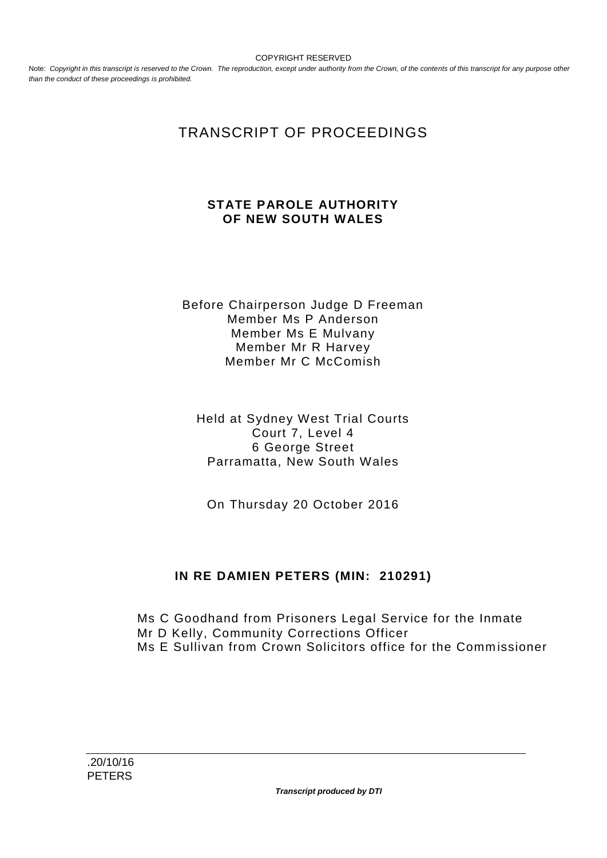COPYRIGHT RESERVED

Note: Copyright in this transcript is reserved to the Crown. The reproduction, except under authority from the Crown, of the contents of this transcript for any purpose other *than the conduct of these proceedings is prohibited.*

# TRANSCRIPT OF PROCEEDINGS

#### **STATE PAROLE AUTHORITY OF NEW SOUTH WALES**

Before Chairperson Judge D Freeman Member Ms P Anderson Member Ms E Mulvany Member Mr R Harvey Member Mr C McComish

Held at Sydney West Trial Courts Court 7, Level 4 6 George Street Parramatta, New South Wales

On Thursday 20 October 2016

### **IN RE DAMIEN PETERS (MIN: 210291)**

Ms C Goodhand from Prisoners Legal Service for the Inmate Mr D Kelly, Community Corrections Officer Ms E Sullivan from Crown Solicitors office for the Commissioner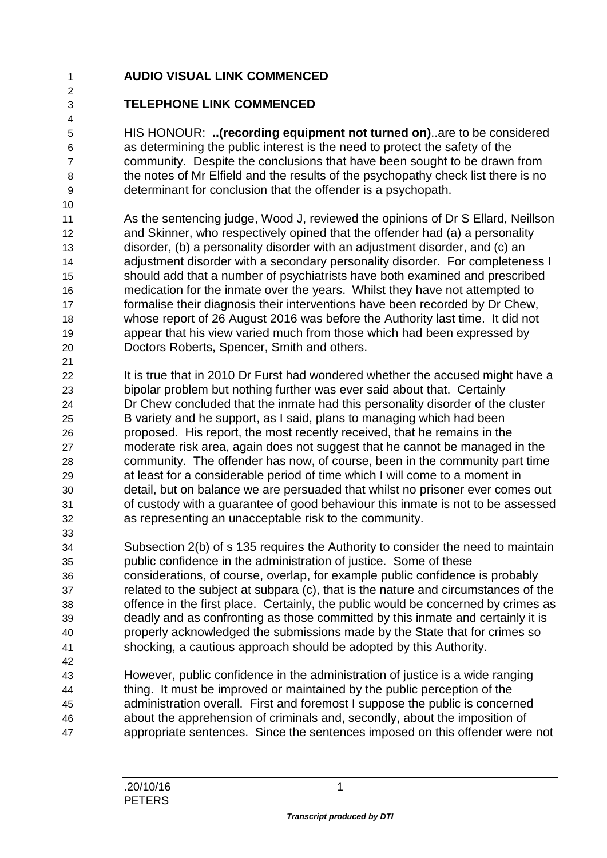## **AUDIO VISUAL LINK COMMENCED**

### **TELEPHONE LINK COMMENCED**

 HIS HONOUR: **..(recording equipment not turned on)**..are to be considered as determining the public interest is the need to protect the safety of the community. Despite the conclusions that have been sought to be drawn from the notes of Mr Elfield and the results of the psychopathy check list there is no determinant for conclusion that the offender is a psychopath.

- As the sentencing judge, Wood J, reviewed the opinions of Dr S Ellard, Neillson and Skinner, who respectively opined that the offender had (a) a personality disorder, (b) a personality disorder with an adjustment disorder, and (c) an adjustment disorder with a secondary personality disorder. For completeness I should add that a number of psychiatrists have both examined and prescribed medication for the inmate over the years. Whilst they have not attempted to formalise their diagnosis their interventions have been recorded by Dr Chew, whose report of 26 August 2016 was before the Authority last time. It did not appear that his view varied much from those which had been expressed by Doctors Roberts, Spencer, Smith and others.
- 22 It is true that in 2010 Dr Furst had wondered whether the accused might have a bipolar problem but nothing further was ever said about that. Certainly Dr Chew concluded that the inmate had this personality disorder of the cluster B variety and he support, as I said, plans to managing which had been proposed. His report, the most recently received, that he remains in the moderate risk area, again does not suggest that he cannot be managed in the community. The offender has now, of course, been in the community part time at least for a considerable period of time which I will come to a moment in detail, but on balance we are persuaded that whilst no prisoner ever comes out of custody with a guarantee of good behaviour this inmate is not to be assessed as representing an unacceptable risk to the community.
- Subsection 2(b) of s 135 requires the Authority to consider the need to maintain public confidence in the administration of justice. Some of these considerations, of course, overlap, for example public confidence is probably related to the subject at subpara (c), that is the nature and circumstances of the offence in the first place. Certainly, the public would be concerned by crimes as deadly and as confronting as those committed by this inmate and certainly it is properly acknowledged the submissions made by the State that for crimes so shocking, a cautious approach should be adopted by this Authority.
- However, public confidence in the administration of justice is a wide ranging thing. It must be improved or maintained by the public perception of the administration overall. First and foremost I suppose the public is concerned about the apprehension of criminals and, secondly, about the imposition of appropriate sentences. Since the sentences imposed on this offender were not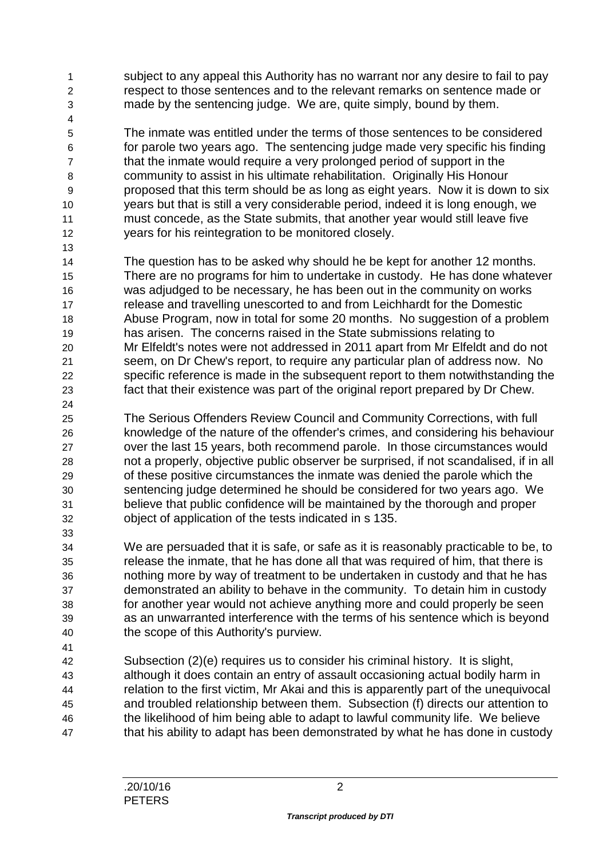subject to any appeal this Authority has no warrant nor any desire to fail to pay respect to those sentences and to the relevant remarks on sentence made or made by the sentencing judge. We are, quite simply, bound by them.

 The inmate was entitled under the terms of those sentences to be considered for parole two years ago. The sentencing judge made very specific his finding that the inmate would require a very prolonged period of support in the community to assist in his ultimate rehabilitation. Originally His Honour proposed that this term should be as long as eight years. Now it is down to six years but that is still a very considerable period, indeed it is long enough, we must concede, as the State submits, that another year would still leave five years for his reintegration to be monitored closely.

- The question has to be asked why should he be kept for another 12 months. There are no programs for him to undertake in custody. He has done whatever was adjudged to be necessary, he has been out in the community on works release and travelling unescorted to and from Leichhardt for the Domestic Abuse Program, now in total for some 20 months. No suggestion of a problem has arisen. The concerns raised in the State submissions relating to Mr Elfeldt's notes were not addressed in 2011 apart from Mr Elfeldt and do not seem, on Dr Chew's report, to require any particular plan of address now. No specific reference is made in the subsequent report to them notwithstanding the fact that their existence was part of the original report prepared by Dr Chew.
- The Serious Offenders Review Council and Community Corrections, with full knowledge of the nature of the offender's crimes, and considering his behaviour over the last 15 years, both recommend parole. In those circumstances would not a properly, objective public observer be surprised, if not scandalised, if in all of these positive circumstances the inmate was denied the parole which the sentencing judge determined he should be considered for two years ago. We believe that public confidence will be maintained by the thorough and proper object of application of the tests indicated in s 135.
- We are persuaded that it is safe, or safe as it is reasonably practicable to be, to release the inmate, that he has done all that was required of him, that there is nothing more by way of treatment to be undertaken in custody and that he has demonstrated an ability to behave in the community. To detain him in custody for another year would not achieve anything more and could properly be seen as an unwarranted interference with the terms of his sentence which is beyond the scope of this Authority's purview.
- Subsection (2)(e) requires us to consider his criminal history. It is slight, although it does contain an entry of assault occasioning actual bodily harm in relation to the first victim, Mr Akai and this is apparently part of the unequivocal and troubled relationship between them. Subsection (f) directs our attention to the likelihood of him being able to adapt to lawful community life. We believe that his ability to adapt has been demonstrated by what he has done in custody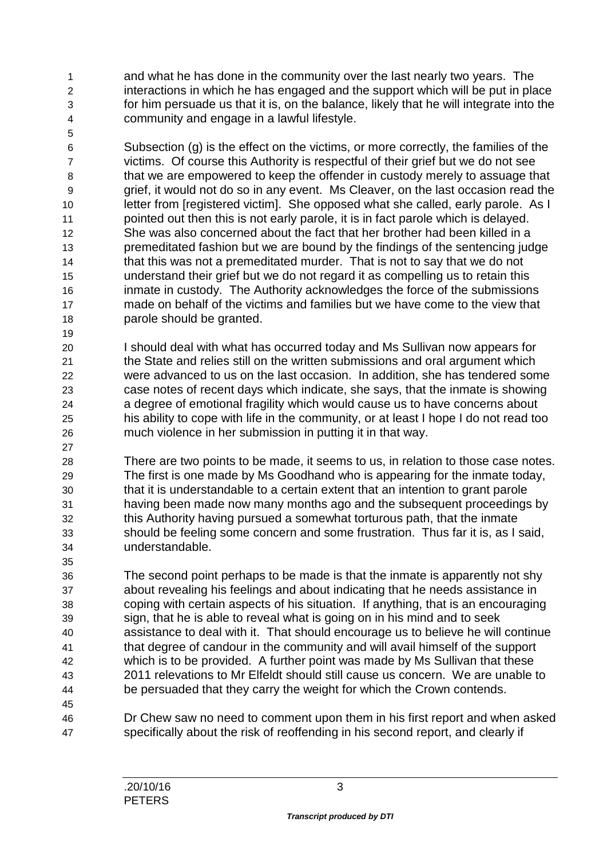and what he has done in the community over the last nearly two years. The interactions in which he has engaged and the support which will be put in place for him persuade us that it is, on the balance, likely that he will integrate into the community and engage in a lawful lifestyle.

 Subsection (g) is the effect on the victims, or more correctly, the families of the victims. Of course this Authority is respectful of their grief but we do not see that we are empowered to keep the offender in custody merely to assuage that grief, it would not do so in any event. Ms Cleaver, on the last occasion read the letter from [registered victim]. She opposed what she called, early parole. As I pointed out then this is not early parole, it is in fact parole which is delayed. She was also concerned about the fact that her brother had been killed in a premeditated fashion but we are bound by the findings of the sentencing judge that this was not a premeditated murder. That is not to say that we do not understand their grief but we do not regard it as compelling us to retain this inmate in custody. The Authority acknowledges the force of the submissions made on behalf of the victims and families but we have come to the view that parole should be granted.

 I should deal with what has occurred today and Ms Sullivan now appears for the State and relies still on the written submissions and oral argument which were advanced to us on the last occasion. In addition, she has tendered some case notes of recent days which indicate, she says, that the inmate is showing a degree of emotional fragility which would cause us to have concerns about his ability to cope with life in the community, or at least I hope I do not read too much violence in her submission in putting it in that way.

 There are two points to be made, it seems to us, in relation to those case notes. The first is one made by Ms Goodhand who is appearing for the inmate today, that it is understandable to a certain extent that an intention to grant parole having been made now many months ago and the subsequent proceedings by this Authority having pursued a somewhat torturous path, that the inmate should be feeling some concern and some frustration. Thus far it is, as I said, understandable.

 The second point perhaps to be made is that the inmate is apparently not shy about revealing his feelings and about indicating that he needs assistance in coping with certain aspects of his situation. If anything, that is an encouraging sign, that he is able to reveal what is going on in his mind and to seek assistance to deal with it. That should encourage us to believe he will continue that degree of candour in the community and will avail himself of the support which is to be provided. A further point was made by Ms Sullivan that these 2011 relevations to Mr Elfeldt should still cause us concern. We are unable to be persuaded that they carry the weight for which the Crown contends.

 Dr Chew saw no need to comment upon them in his first report and when asked specifically about the risk of reoffending in his second report, and clearly if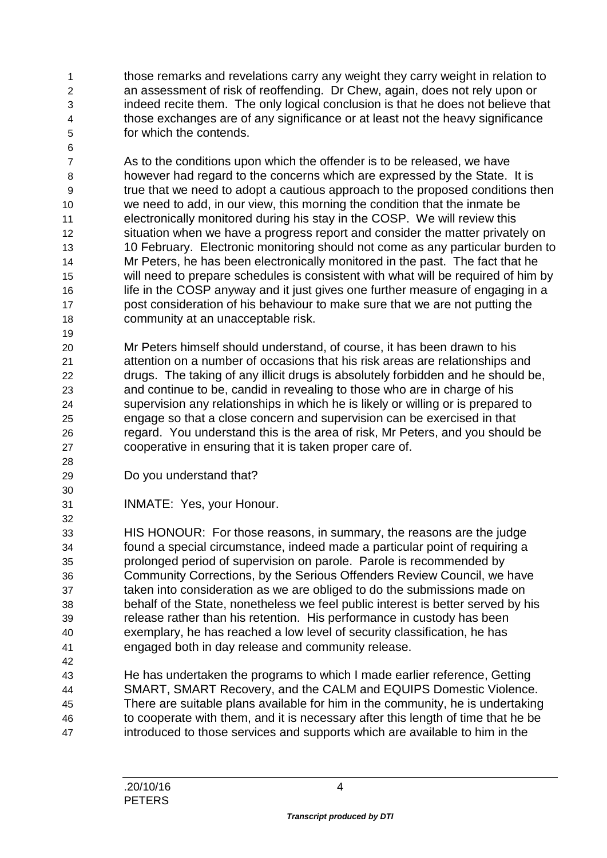those remarks and revelations carry any weight they carry weight in relation to an assessment of risk of reoffending. Dr Chew, again, does not rely upon or indeed recite them. The only logical conclusion is that he does not believe that those exchanges are of any significance or at least not the heavy significance for which the contends.

 As to the conditions upon which the offender is to be released, we have however had regard to the concerns which are expressed by the State. It is true that we need to adopt a cautious approach to the proposed conditions then we need to add, in our view, this morning the condition that the inmate be electronically monitored during his stay in the COSP. We will review this situation when we have a progress report and consider the matter privately on 10 February. Electronic monitoring should not come as any particular burden to Mr Peters, he has been electronically monitored in the past. The fact that he will need to prepare schedules is consistent with what will be required of him by 16 life in the COSP anyway and it just gives one further measure of engaging in a post consideration of his behaviour to make sure that we are not putting the community at an unacceptable risk.

 Mr Peters himself should understand, of course, it has been drawn to his attention on a number of occasions that his risk areas are relationships and drugs. The taking of any illicit drugs is absolutely forbidden and he should be, and continue to be, candid in revealing to those who are in charge of his supervision any relationships in which he is likely or willing or is prepared to engage so that a close concern and supervision can be exercised in that regard. You understand this is the area of risk, Mr Peters, and you should be cooperative in ensuring that it is taken proper care of.

Do you understand that?

INMATE: Yes, your Honour.

 HIS HONOUR: For those reasons, in summary, the reasons are the judge found a special circumstance, indeed made a particular point of requiring a prolonged period of supervision on parole. Parole is recommended by Community Corrections, by the Serious Offenders Review Council, we have taken into consideration as we are obliged to do the submissions made on behalf of the State, nonetheless we feel public interest is better served by his release rather than his retention. His performance in custody has been exemplary, he has reached a low level of security classification, he has engaged both in day release and community release.

 He has undertaken the programs to which I made earlier reference, Getting SMART, SMART Recovery, and the CALM and EQUIPS Domestic Violence. There are suitable plans available for him in the community, he is undertaking to cooperate with them, and it is necessary after this length of time that he be introduced to those services and supports which are available to him in the